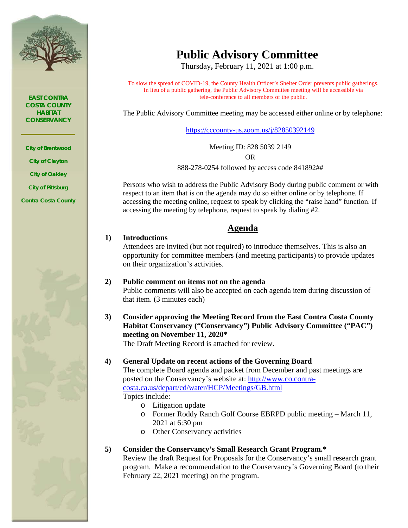

*EAST CONTRA COSTA COUNTY HABITAT CONSERVANCY*

*City of Brentwood City of Clayton City of Oakley City of Pittsburg Contra Costa County*



# **Public Advisory Committee**

Thursday**,** February 11, 2021 at 1:00 p.m.

To slow the spread of COVID-19, the County Health Officer's Shelter Order prevents public gatherings. In lieu of a public gathering, the Public Advisory Committee meeting will be accessible via tele-conference to all members of the public.

The Public Advisory Committee meeting may be accessed either online or by telephone:

<https://cccounty-us.zoom.us/j/82850392149>

Meeting ID: 828 5039 2149 OR

888-278-0254 followed by access code 841892##

Persons who wish to address the Public Advisory Body during public comment or with respect to an item that is on the agenda may do so either online or by telephone. If accessing the meeting online, request to speak by clicking the "raise hand" function. If accessing the meeting by telephone, request to speak by dialing #2.

# **Agenda**

## Attendees are invited (but not required) to introduce themselves. This is also an opportunity for committee members (and meeting participants) to provide updates on their organization's activities.

- **2) Public comment on items not on the agenda** Public comments will also be accepted on each agenda item during discussion of that item. (3 minutes each)
- **3) Consider approving the Meeting Record from the East Contra Costa County Habitat Conservancy ("Conservancy") Public Advisory Committee ("PAC") meeting on November 11, 2020\***

The Draft Meeting Record is attached for review.

## **4) General Update on recent actions of the Governing Board**

The complete Board agenda and packet from December and past meetings are posted on the Conservancy's website at: [http://www.co.contra](http://www.co.contra-costa.ca.us/depart/cd/water/HCP/Meetings/GB.html)[costa.ca.us/depart/cd/water/HCP/Meetings/GB.html](http://www.co.contra-costa.ca.us/depart/cd/water/HCP/Meetings/GB.html) Topics include:

o Litigation update

**1) Introductions**

- o Former Roddy Ranch Golf Course EBRPD public meeting March 11, 2021 at 6:30 pm
- o Other Conservancy activities

## **5) Consider the Conservancy's Small Research Grant Program.\***

Review the draft Request for Proposals for the Conservancy's small research grant program. Make a recommendation to the Conservancy's Governing Board (to their February 22, 2021 meeting) on the program.